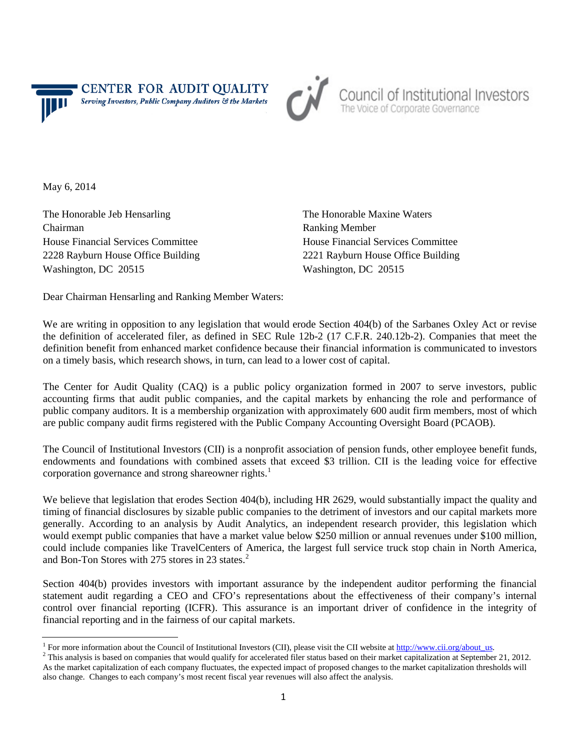**CENTER FOR AUDIT QUALITY** Serving Investors, Public Company Auditors & the Markets



Council of Institutional Investors<br>The Voice of Corporate Governance

May 6, 2014

The Honorable Jeb Hensarling The Honorable Maxine Waters Chairman Ranking Member House Financial Services Committee House Financial Services Committee Washington, DC 20515 Washington, DC 20515

2228 Rayburn House Office Building 2221 Rayburn House Office Building

Dear Chairman Hensarling and Ranking Member Waters:

We are writing in opposition to any legislation that would erode Section 404(b) of the Sarbanes Oxley Act or revise the definition of accelerated filer, as defined in SEC Rule 12b-2 (17 C.F.R. 240.12b-2). Companies that meet the definition benefit from enhanced market confidence because their financial information is communicated to investors on a timely basis, which research shows, in turn, can lead to a lower cost of capital.

The Center for Audit Quality (CAQ) is a public policy organization formed in 2007 to serve investors, public accounting firms that audit public companies, and the capital markets by enhancing the role and performance of public company auditors. It is a membership organization with approximately 600 audit firm members, most of which are public company audit firms registered with the Public Company Accounting Oversight Board (PCAOB).

The Council of Institutional Investors (CII) is a nonprofit association of pension funds, other employee benefit funds, endowments and foundations with combined assets that exceed \$3 trillion. CII is the leading voice for effective corporation governance and strong shareowner rights. $<sup>1</sup>$  $<sup>1</sup>$  $<sup>1</sup>$ </sup>

We believe that legislation that erodes Section 404(b), including HR 2629, would substantially impact the quality and timing of financial disclosures by sizable public companies to the detriment of investors and our capital markets more generally. According to an analysis by Audit Analytics, an independent research provider, this legislation which would exempt public companies that have a market value below \$250 million or annual revenues under \$100 million, could include companies like TravelCenters of America, the largest full service truck stop chain in North America, and Bon-Ton Stores with [2](#page-0-1)75 stores in 23 states.<sup>2</sup>

Section 404(b) provides investors with important assurance by the independent auditor performing the financial statement audit regarding a CEO and CFO's representations about the effectiveness of their company's internal control over financial reporting (ICFR). This assurance is an important driver of confidence in the integrity of financial reporting and in the fairness of our capital markets.

<span id="page-0-0"></span><sup>&</sup>lt;sup>1</sup> For more information about the Council of Institutional Investors (CII), please visit the CII website at  $\frac{http://www.cii.org/about_us}{http://www.cii.org/about_us}$ .<br><sup>2</sup> This analysis is based on companies that would qualify for accelerated filer st

<span id="page-0-1"></span>As the market capitalization of each company fluctuates, the expected impact of proposed changes to the market capitalization thresholds will also change. Changes to each company's most recent fiscal year revenues will also affect the analysis.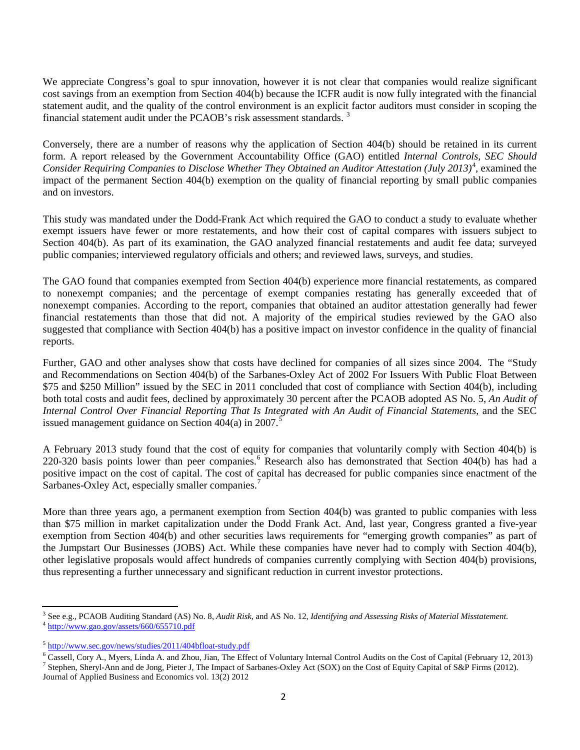We appreciate Congress's goal to spur innovation, however it is not clear that companies would realize significant cost savings from an exemption from Section 404(b) because the ICFR audit is now fully integrated with the financial statement audit, and the quality of the control environment is an explicit factor auditors must consider in scoping the financial statement audit under the PCAOB's risk assessment standards.<sup>[3](#page-1-0)</sup>

Conversely, there are a number of reasons why the application of Section 404(b) should be retained in its current form. A report released by the Government Accountability Office (GAO) entitled *Internal Controls, SEC Should Consider Requiring Companies to Disclose Whether They Obtained an Auditor Attestation (July 2013)* [4](#page-1-1) , examined the impact of the permanent Section 404(b) exemption on the quality of financial reporting by small public companies and on investors.

This study was mandated under the Dodd-Frank Act which required the GAO to conduct a study to evaluate whether exempt issuers have fewer or more restatements, and how their cost of capital compares with issuers subject to Section 404(b). As part of its examination, the GAO analyzed financial restatements and audit fee data; surveyed public companies; interviewed regulatory officials and others; and reviewed laws, surveys, and studies.

The GAO found that companies exempted from Section 404(b) experience more financial restatements, as compared to nonexempt companies; and the percentage of exempt companies restating has generally exceeded that of nonexempt companies. According to the report, companies that obtained an auditor attestation generally had fewer financial restatements than those that did not. A majority of the empirical studies reviewed by the GAO also suggested that compliance with Section 404(b) has a positive impact on investor confidence in the quality of financial reports.

Further, GAO and other analyses show that costs have declined for companies of all sizes since 2004. The "Study and Recommendations on Section 404(b) of the Sarbanes-Oxley Act of 2002 For Issuers With Public Float Between \$75 and \$250 Million" issued by the SEC in 2011 concluded that cost of compliance with Section 404(b), including both total costs and audit fees, declined by approximately 30 percent after the PCAOB adopted AS No. 5, *An Audit of Internal Control Over Financial Reporting That Is Integrated with An Audit of Financial Statements*, and the SEC issued management guidance on Section  $404(a)$  in  $2007$ .<sup>[5](#page-1-2)</sup>

A February 2013 study found that the cost of equity for companies that voluntarily comply with Section 404(b) is 220-320 basis points lower than peer companies.<sup>[6](#page-1-3)</sup> Research also has demonstrated that Section 404(b) has had a positive impact on the cost of capital. The cost of capital has decreased for public companies since enactment of the Sarbanes-Oxley Act, especially smaller companies.<sup>[7](#page-1-4)</sup>

More than three years ago, a permanent exemption from Section 404(b) was granted to public companies with less than \$75 million in market capitalization under the Dodd Frank Act. And, last year, Congress granted a five-year exemption from Section 404(b) and other securities laws requirements for "emerging growth companies" as part of the Jumpstart Our Businesses (JOBS) Act. While these companies have never had to comply with Section 404(b), other legislative proposals would affect hundreds of companies currently complying with Section 404(b) provisions, thus representing a further unnecessary and significant reduction in current investor protections.

<span id="page-1-1"></span><span id="page-1-0"></span><sup>3</sup> See e.g., PCAOB Auditing Standard (AS) No. 8, *Audit Risk*, and AS No. 12, *Identifying and Assessing Risks of Material Misstatement.* <sup>4</sup> <http://www.gao.gov/assets/660/655710.pdf>

<span id="page-1-2"></span> $\frac{5 \text{ http://www.sec.gov/news/studies/2011/404bfloat-study.pdf}}{6 \text{ Cassell, Cory A., Myers, Linda A. and Zhou, Jian, The Effect of Voluntary Internal Control;}$  $\frac{5 \text{ http://www.sec.gov/news/studies/2011/404bfloat-study.pdf}}{6 \text{ Cassell, Cory A., Myers, Linda A. and Zhou, Jian, The Effect of Voluntary Internal Control;}$  $\frac{5 \text{ http://www.sec.gov/news/studies/2011/404bfloat-study.pdf}}{6 \text{ Cassell, Cory A., Myers, Linda A. and Zhou, Jian, The Effect of Voluntary Internal Control;}$  and  $\frac{5 \text{ http://www.sec.gov/news/studies/2011/404bfloat-study.pdf}}{7 \text{ Use of the } 2 \text{ public of the } 2 \text{ public of the } 2 \text{ public of the } 2 \text{ public of the } 2 \text{ public of the } 2 \text{ public of the } 2 \text{ public of the } 2 \text{ public of the } 2 \text{ public of the } 2 \text{ public of the } 2 \text{ public of the } 2 \text{ public of the }$ 

<span id="page-1-4"></span><span id="page-1-3"></span><sup>&</sup>lt;sup>7</sup> Stephen, Sheryl-Ann and de Jong, Pieter J, The Impact of Sarbanes-Oxley Act (SOX) on the Cost of Equity Capital of S&P Firms (2012). Journal of Applied Business and Economics vol. 13(2) 2012